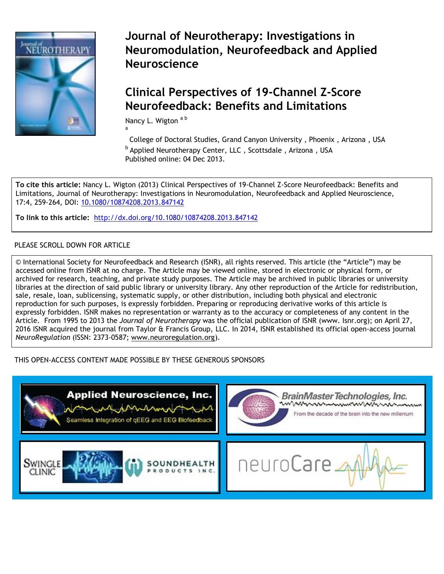

**Journal of Neurotherapy: Investigations in Neuromodulation, Neurofeedback and Applied Neuroscience** 

# **[Clinical Perspectives of 19](http://www.tandfonline.com/loi/wneu20)-Channel Z-Score Neurofeedback: Benefits and Limitations**

Nancy L. Wigton a b

College of Doctoral Studies, Grand Canyon University , Phoenix , Arizona , USA <sup>b</sup> Applied Neurotherapy Center, LLC, Scottsdale, Arizona, USA Published online: 04 Dec 2013.

**To cite this article:** Nancy L. Wigton (2013) Clinical Perspectives of 19-Channel Z-Score Neurofeedback: Benefits and Limitations, Journal of Neurotherapy: Investigations in Neuromodulation, Neurofeedback and Applied Neuroscience, 17:4, 259-264, DOI: 10.1080/10874208.2013.847142

**To link to this article:** <http://dx.doi.org/10.1080/10874208.2013.847142>

a

# PLEASE SCROLL DOWN FOR ARTICLE

© International Society for Neurofeedback and Research (ISNR), all rights reserved. This article (the "Article") may be accessed online from ISNR at no charge. The Article may be viewed online, stored in electronic or physical form, or archived for research, teaching, and private study purposes. The Article may be archived in public libraries or university libraries at the direction of said public library or university library. Any other reproduction of the Article for redistribution, sale, resale, loan, sublicensing, systematic supply, or other distribution, including both physical and electronic reproduction for such purposes, is expressly forbidden. Preparing or reproducing derivative works of this article is expressly forbidden. ISNR makes no representation or warranty as to the accuracy or completeness of any content in the Article. From 1995 to 2013 the *Journal of Neurotherapy* was the official publication of ISNR (www. Isnr.org); on April 27, 2016 ISNR acquired the journal from Taylor & Francis Group, LLC. In 2014, ISNR established its official open-access journal *NeuroRegulation* (ISSN: 2373-0587; [www.neuroregulation.org\)](http://www.neuroregulation.org/).

THIS OPEN-ACCESS CONTENT MADE POSSIBLE BY THESE GENEROUS SPONSORS

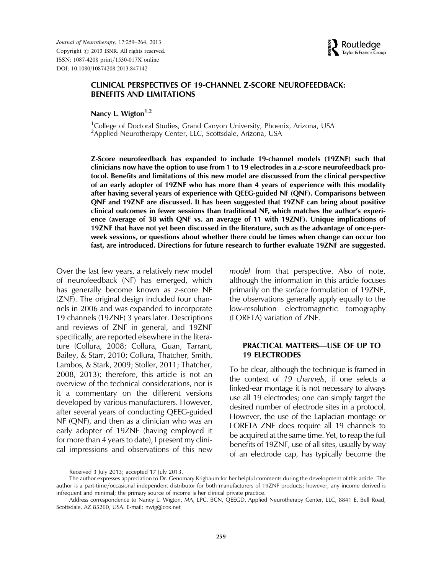Journal of Neurotherapy, 17:259–264, 2013 Copyright  $\oslash$  2013 ISNR. All rights reserved. ISSN: 1087-4208 print/1530-017X online DOI: 10.1080/10874208.2013.847142



# CLINICAL PERSPECTIVES OF 19-CHANNEL Z-SCORE NEUROFEEDBACK: BENEFITS AND LIMITATIONS

Nancy L. Wigton $1,2$ 

<sup>1</sup>College of Doctoral Studies, Grand Canyon University, Phoenix, Arizona, USA <sup>2</sup>Applied Neurotherapy Center, LLC, Scottsdale, Arizona, USA

Z-Score neurofeedback has expanded to include 19-channel models (19ZNF) such that clinicians now have the option to use from 1 to 19 electrodes in a *z*-score neurofeedback protocol. Benefits and limitations of this new model are discussed from the clinical perspective of an early adopter of 19ZNF who has more than 4 years of experience with this modality after having several years of experience with QEEG-guided NF (QNF). Comparisons between QNF and 19ZNF are discussed. It has been suggested that 19ZNF can bring about positive clinical outcomes in fewer sessions than traditional NF, which matches the author's experience (average of 38 with QNF vs. an average of 11 with 19ZNF). Unique implications of 19ZNF that have not yet been discussed in the literature, such as the advantage of once-perweek sessions, or questions about whether there could be times when change can occur too fast, are introduced. Directions for future research to further evaluate 19ZNF are suggested.

Over the last few years, a relatively new model of neurofeedback (NF) has emerged, which has generally become known as z-score NF (ZNF). The original design included four channels in 2006 and was expanded to incorporate 19 channels (19ZNF) 3 years later. Descriptions and reviews of ZNF in general, and 19ZNF specifically, are reported elsewhere in the literature (Collura, 2008; Collura, Guan, Tarrant, Bailey, & Starr, 2010; Collura, Thatcher, Smith, Lambos, & Stark, 2009; Stoller, 2011; Thatcher, 2008, 2013); therefore, this article is not an overview of the technical considerations, nor is it a commentary on the different versions developed by various manufacturers. However, after several years of conducting QEEG-guided NF (QNF), and then as a clinician who was an early adopter of 19ZNF (having employed it for more than 4 years to date), I present my clinical impressions and observations of this new model from that perspective. Also of note, although the information in this article focuses primarily on the surface formulation of 19ZNF, the observations generally apply equally to the low-resolution electromagnetic tomography (LORETA) variation of ZNF.

#### PRACTICAL MATTERS—USE OF UP TO 19 ELECTRODES

To be clear, although the technique is framed in the context of 19 channels, if one selects a linked-ear montage it is not necessary to always use all 19 electrodes; one can simply target the desired number of electrode sites in a protocol. However, the use of the Laplacian montage or LORETA ZNF does require all 19 channels to be acquired at the same time. Yet, to reap the full benefits of 19ZNF, use of all sites, usually by way of an electrode cap, has typically become the

Received 3 July 2013; accepted 17 July 2013.

The author expresses appreciation to Dr. Genomary Krigbaum for her helpful comments during the development of this article. The author is a part-time/occasional independent distributor for both manufacturers of 19ZNF products; however, any income derived is infrequent and minimal; the primary source of income is her clinical private practice.

Address correspondence to Nancy L. Wigton, MA, LPC, BCN, QEEGD, Applied Neurotherapy Center, LLC, 8841 E. Bell Road, Scottsdale, AZ 85260, USA. E-mail: nwig@cox.net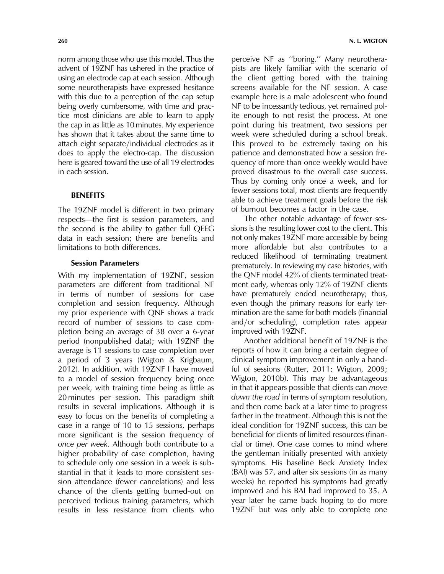norm among those who use this model. Thus the advent of 19ZNF has ushered in the practice of using an electrode cap at each session. Although some neurotherapists have expressed hesitance with this due to a perception of the cap setup being overly cumbersome, with time and practice most clinicians are able to learn to apply the cap in as little as 10 minutes. My experience has shown that it takes about the same time to attach eight separate/individual electrodes as it does to apply the electro-cap. The discussion here is geared toward the use of all 19 electrodes in each session.

## **BENEFITS**

The 19ZNF model is different in two primary respects—the first is session parameters, and the second is the ability to gather full QEEG data in each session; there are benefits and limitations to both differences.

#### Session Parameters

With my implementation of 19ZNF, session parameters are different from traditional NF in terms of number of sessions for case completion and session frequency. Although my prior experience with QNF shows a track record of number of sessions to case completion being an average of 38 over a 6-year period (nonpublished data); with 19ZNF the average is 11 sessions to case completion over a period of 3 years (Wigton & Krigbaum, 2012). In addition, with 19ZNF I have moved to a model of session frequency being once per week, with training time being as little as 20 minutes per session. This paradigm shift results in several implications. Although it is easy to focus on the benefits of completing a case in a range of 10 to 15 sessions, perhaps more significant is the session frequency of once per week. Although both contribute to a higher probability of case completion, having to schedule only one session in a week is substantial in that it leads to more consistent session attendance (fewer cancelations) and less chance of the clients getting burned-out on perceived tedious training parameters, which results in less resistance from clients who

perceive NF as ''boring.'' Many neurotherapists are likely familiar with the scenario of the client getting bored with the training screens available for the NF session. A case example here is a male adolescent who found NF to be incessantly tedious, yet remained polite enough to not resist the process. At one point during his treatment, two sessions per week were scheduled during a school break. This proved to be extremely taxing on his patience and demonstrated how a session frequency of more than once weekly would have proved disastrous to the overall case success. Thus by coming only once a week, and for fewer sessions total, most clients are frequently able to achieve treatment goals before the risk of burnout becomes a factor in the case.

The other notable advantage of fewer sessions is the resulting lower cost to the client. This not only makes 19ZNF more accessible by being more affordable but also contributes to a reduced likelihood of terminating treatment prematurely. In reviewing my case histories, with the QNF model 42% of clients terminated treatment early, whereas only 12% of 19ZNF clients have prematurely ended neurotherapy; thus, even though the primary reasons for early termination are the same for both models (financial and/or scheduling), completion rates appear improved with 19ZNF.

Another additional benefit of 19ZNF is the reports of how it can bring a certain degree of clinical symptom improvement in only a handful of sessions (Rutter, 2011; Wigton, 2009; Wigton, 2010b). This may be advantageous in that it appears possible that clients can move down the road in terms of symptom resolution, and then come back at a later time to progress farther in the treatment. Although this is not the ideal condition for 19ZNF success, this can be beneficial for clients of limited resources (financial or time). One case comes to mind where the gentleman initially presented with anxiety symptoms. His baseline Beck Anxiety Index (BAI) was 57, and after six sessions (in as many weeks) he reported his symptoms had greatly improved and his BAI had improved to 35. A year later he came back hoping to do more 19ZNF but was only able to complete one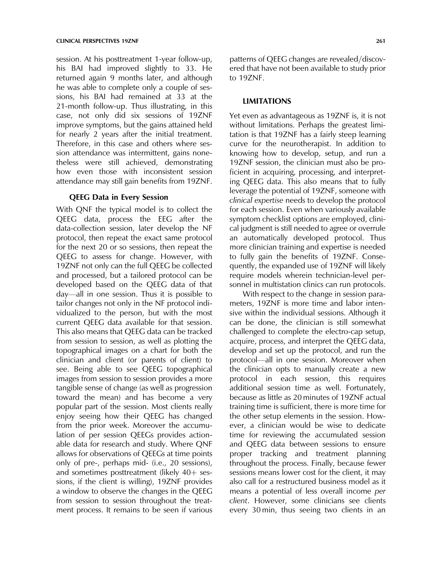session. At his posttreatment 1-year follow-up, his BAI had improved slightly to 33. He returned again 9 months later, and although he was able to complete only a couple of sessions, his BAI had remained at 33 at the 21-month follow-up. Thus illustrating, in this case, not only did six sessions of 19ZNF improve symptoms, but the gains attained held for nearly 2 years after the initial treatment. Therefore, in this case and others where session attendance was intermittent, gains nonetheless were still achieved, demonstrating how even those with inconsistent session attendance may still gain benefits from 19ZNF.

## QEEG Data in Every Session

With QNF the typical model is to collect the QEEG data, process the EEG after the data-collection session, later develop the NF protocol, then repeat the exact same protocol for the next 20 or so sessions, then repeat the QEEG to assess for change. However, with 19ZNF not only can the full QEEG be collected and processed, but a tailored protocol can be developed based on the QEEG data of that day—all in one session. Thus it is possible to tailor changes not only in the NF protocol individualized to the person, but with the most current QEEG data available for that session. This also means that QEEG data can be tracked from session to session, as well as plotting the topographical images on a chart for both the clinician and client (or parents of client) to see. Being able to see QEEG topographical images from session to session provides a more tangible sense of change (as well as progression toward the mean) and has become a very popular part of the session. Most clients really enjoy seeing how their QEEG has changed from the prior week. Moreover the accumulation of per session QEEGs provides actionable data for research and study. Where QNF allows for observations of QEEGs at time points only of pre-, perhaps mid- (i.e., 20 sessions), and sometimes posttreatment (likely  $40+$  sessions, if the client is willing), 19ZNF provides a window to observe the changes in the QEEG from session to session throughout the treatment process. It remains to be seen if various patterns of QEEG changes are revealed/discovered that have not been available to study prior to 19ZNF.

#### LIMITATIONS

Yet even as advantageous as 19ZNF is, it is not without limitations. Perhaps the greatest limitation is that 19ZNF has a fairly steep learning curve for the neurotherapist. In addition to knowing how to develop, setup, and run a 19ZNF session, the clinician must also be proficient in acquiring, processing, and interpreting QEEG data. This also means that to fully leverage the potential of 19ZNF, someone with clinical expertise needs to develop the protocol for each session. Even when variously available symptom checklist options are employed, clinical judgment is still needed to agree or overrule an automatically developed protocol. Thus more clinician training and expertise is needed to fully gain the benefits of 19ZNF. Consequently, the expanded use of 19ZNF will likely require models wherein technician-level personnel in multistation clinics can run protocols.

With respect to the change in session parameters, 19ZNF is more time and labor intensive within the individual sessions. Although it can be done, the clinician is still somewhat challenged to complete the electro-cap setup, acquire, process, and interpret the QEEG data, develop and set up the protocol, and run the protocol—all in one session. Moreover when the clinician opts to manually create a new protocol in each session, this requires additional session time as well. Fortunately, because as little as 20 minutes of 19ZNF actual training time is sufficient, there is more time for the other setup elements in the session. However, a clinician would be wise to dedicate time for reviewing the accumulated session and QEEG data between sessions to ensure proper tracking and treatment planning throughout the process. Finally, because fewer sessions means lower cost for the client, it may also call for a restructured business model as it means a potential of less overall income per client. However, some clinicians see clients every 30 min, thus seeing two clients in an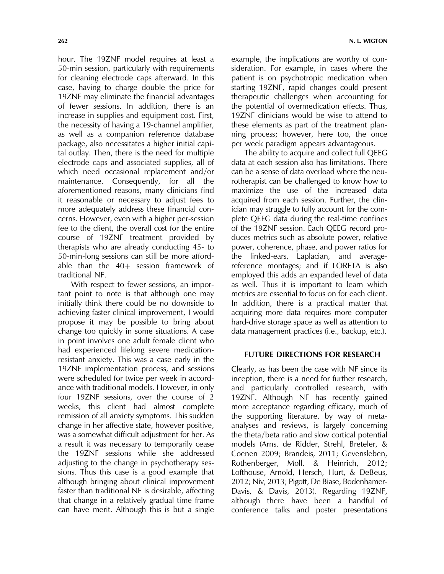hour. The 19ZNF model requires at least a 50-min session, particularly with requirements for cleaning electrode caps afterward. In this case, having to charge double the price for 19ZNF may eliminate the financial advantages of fewer sessions. In addition, there is an increase in supplies and equipment cost. First, the necessity of having a 19-channel amplifier, as well as a companion reference database package, also necessitates a higher initial capital outlay. Then, there is the need for multiple electrode caps and associated supplies, all of which need occasional replacement and/or maintenance. Consequently, for all the aforementioned reasons, many clinicians find it reasonable or necessary to adjust fees to more adequately address these financial concerns. However, even with a higher per-session fee to the client, the overall cost for the entire course of 19ZNF treatment provided by therapists who are already conducting 45- to 50-min-long sessions can still be more affordable than the  $40+$  session framework of traditional NF.

With respect to fewer sessions, an important point to note is that although one may initially think there could be no downside to achieving faster clinical improvement, I would propose it may be possible to bring about change too quickly in some situations. A case in point involves one adult female client who had experienced lifelong severe medicationresistant anxiety. This was a case early in the 19ZNF implementation process, and sessions were scheduled for twice per week in accordance with traditional models. However, in only four 19ZNF sessions, over the course of 2 weeks, this client had almost complete remission of all anxiety symptoms. This sudden change in her affective state, however positive, was a somewhat difficult adjustment for her. As a result it was necessary to temporarily cease the 19ZNF sessions while she addressed adjusting to the change in psychotherapy sessions. Thus this case is a good example that although bringing about clinical improvement faster than traditional NF is desirable, affecting that change in a relatively gradual time frame can have merit. Although this is but a single

example, the implications are worthy of consideration. For example, in cases where the patient is on psychotropic medication when starting 19ZNF, rapid changes could present therapeutic challenges when accounting for the potential of overmedication effects. Thus, 19ZNF clinicians would be wise to attend to these elements as part of the treatment planning process; however, here too, the once per week paradigm appears advantageous.

The ability to acquire and collect full QEEG data at each session also has limitations. There can be a sense of data overload where the neurotherapist can be challenged to know how to maximize the use of the increased data acquired from each session. Further, the clinician may struggle to fully account for the complete QEEG data during the real-time confines of the 19ZNF session. Each QEEG record produces metrics such as absolute power, relative power, coherence, phase, and power ratios for the linked-ears, Laplacian, and averagereference montages; and if LORETA is also employed this adds an expanded level of data as well. Thus it is important to learn which metrics are essential to focus on for each client. In addition, there is a practical matter that acquiring more data requires more computer hard-drive storage space as well as attention to data management practices (i.e., backup, etc.).

## FUTURE DIRECTIONS FOR RESEARCH

Clearly, as has been the case with NF since its inception, there is a need for further research, and particularly controlled research, with 19ZNF. Although NF has recently gained more acceptance regarding efficacy, much of the supporting literature, by way of metaanalyses and reviews, is largely concerning the theta/beta ratio and slow cortical potential models (Arns, de Ridder, Strehl, Breteler, & Coenen 2009; Brandeis, 2011; Gevensleben, Rothenberger, Moll, & Heinrich, 2012; Lofthouse, Arnold, Hersch, Hurt, & DeBeus, 2012; Niv, 2013; Pigott, De Biase, Bodenhamer-Davis, & Davis, 2013). Regarding 19ZNF, although there have been a handful of conference talks and poster presentations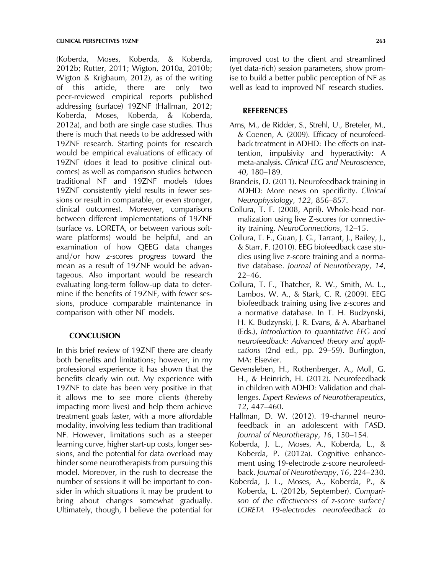(Koberda, Moses, Koberda, & Koberda, 2012b; Rutter, 2011; Wigton, 2010a, 2010b; Wigton & Krigbaum, 2012), as of the writing of this article, there are only two peer-reviewed empirical reports published addressing (surface) 19ZNF (Hallman, 2012; Koberda, Moses, Koberda, & Koberda, 2012a), and both are single case studies. Thus there is much that needs to be addressed with 19ZNF research. Starting points for research would be empirical evaluations of efficacy of 19ZNF (does it lead to positive clinical outcomes) as well as comparison studies between traditional NF and 19ZNF models (does 19ZNF consistently yield results in fewer sessions or result in comparable, or even stronger, clinical outcomes). Moreover, comparisons between different implementations of 19ZNF (surface vs. LORETA, or between various software platforms) would be helpful, and an examination of how QEEG data changes and/or how z-scores progress toward the mean as a result of 19ZNF would be advantageous. Also important would be research evaluating long-term follow-up data to determine if the benefits of 19ZNF, with fewer sessions, produce comparable maintenance in comparison with other NF models.

# **CONCLUSION**

In this brief review of 19ZNF there are clearly both benefits and limitations; however, in my professional experience it has shown that the benefits clearly win out. My experience with 19ZNF to date has been very positive in that it allows me to see more clients (thereby impacting more lives) and help them achieve treatment goals faster, with a more affordable modality, involving less tedium than traditional NF. However, limitations such as a steeper learning curve, higher start-up costs, longer sessions, and the potential for data overload may hinder some neurotherapists from pursuing this model. Moreover, in the rush to decrease the number of sessions it will be important to consider in which situations it may be prudent to bring about changes somewhat gradually. Ultimately, though, I believe the potential for improved cost to the client and streamlined (yet data-rich) session parameters, show promise to build a better public perception of NF as well as lead to improved NF research studies.

#### REFERENCES

- Arns, M., de Ridder, S., Strehl, U., Breteler, M., & Coenen, A. (2009). Efficacy of neurofeedback treatment in ADHD: The effects on inattention, impulsivity and hyperactivity: A meta-analysis. Clinical EEG and Neuroscience, 40, 180–189.
- Brandeis, D. (2011). Neurofeedback training in ADHD: More news on specificity. Clinical Neurophysiology, 122, 856–857.
- Collura, T. F. (2008, April). Whole-head normalization using live Z-scores for connectivity training. NeuroConnections, 12–15.
- Collura, T. F., Guan, J. G., Tarrant, J., Bailey, J., & Starr, F. (2010). EEG biofeedback case studies using live z-score training and a normative database. Journal of Neurotherapy, 14, 22–46.
- Collura, T. F., Thatcher, R. W., Smith, M. L., Lambos, W. A., & Stark, C. R. (2009). EEG biofeedback training using live z-scores and a normative database. In T. H. Budzynski, H. K. Budzynski, J. R. Evans, & A. Abarbanel (Eds.), Introduction to quantitative EEG and neurofeedback: Advanced theory and applications (2nd ed., pp. 29–59). Burlington, MA: Elsevier.
- Gevensleben, H., Rothenberger, A., Moll, G. H., & Heinrich, H. (2012). Neurofeedback in children with ADHD: Validation and challenges. Expert Reviews of Neurotherapeutics, 12, 447–460.
- Hallman, D. W. (2012). 19-channel neurofeedback in an adolescent with FASD. Journal of Neurotherapy, 16, 150–154.
- Koberda, J. L., Moses, A., Koberda, L., & Koberda, P. (2012a). Cognitive enhancement using 19-electrode z-score neurofeedback. Journal of Neurotherapy, 16, 224–230.
- Koberda, J. L., Moses, A., Koberda, P., & Koberda, L. (2012b, September). Comparison of the effectiveness of  $z$ -score surface/ LORETA 19-electrodes neurofeedback to